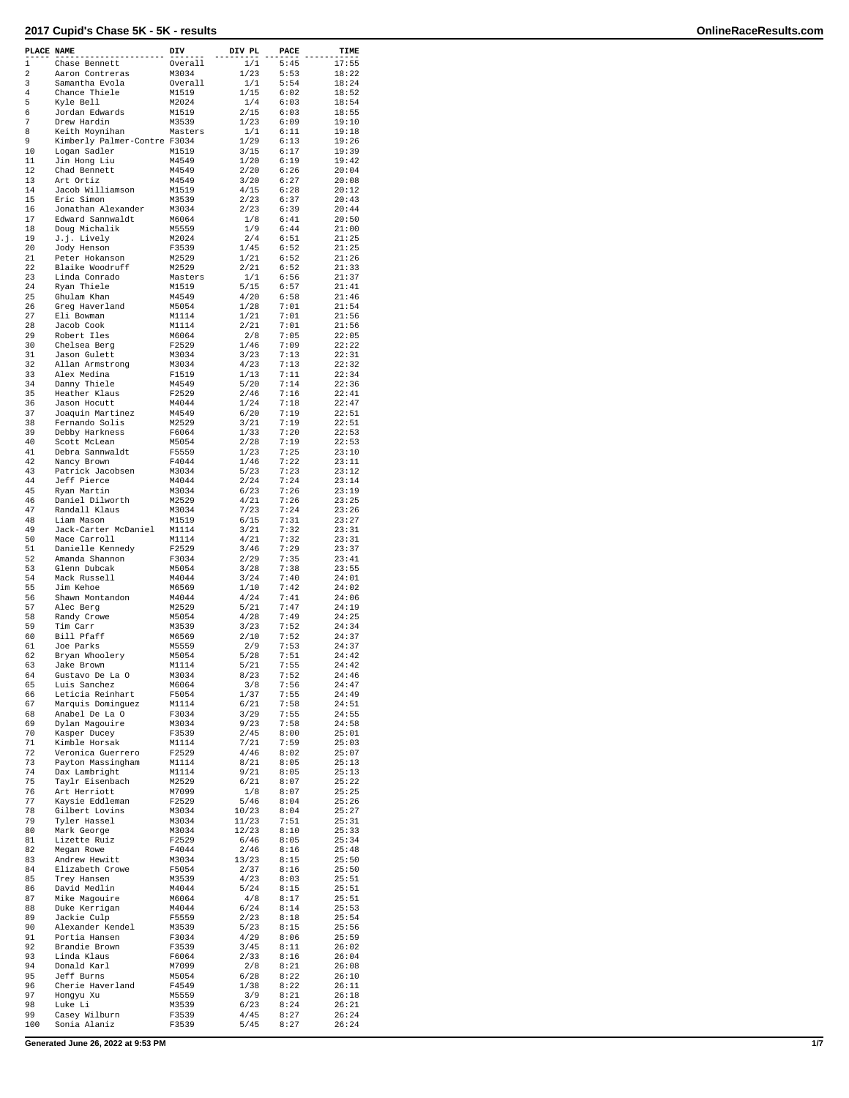| PLACE NAME |                                  | DIV            | DIV PL       | PACE         | TIME           |
|------------|----------------------------------|----------------|--------------|--------------|----------------|
| 1          | Chase Bennett                    | Overall        | 1/1          | 5:45         | 17:55          |
| 2          | Aaron Contreras                  | M3034          | 1/23         | 5:53         | 18:22          |
| 3          | Samantha Evola                   | Overall        | 1/1          | 5:54         | 18:24          |
| 4          | Chance Thiele                    | M1519          | 1/15         | 6:02         | 18:52          |
| 5          | Kyle Bell                        | M2024          | 1/4          | 6:03         | 18:54          |
| 6<br>7     | Jordan Edwards<br>Drew Hardin    | M1519<br>M3539 | 2/15         | 6:03<br>6:09 | 18:55<br>19:10 |
| 8          | Keith Movnihan                   | Masters        | 1/23<br>1/1  | 6:11         | 19:18          |
| 9          | Kimberly Palmer-Contre F3034     |                | 1/29         | 6:13         | 19:26          |
| 10         | Logan Sadler                     | M1519          | 3/15         | 6:17         | 19:39          |
| 11         | Jin Hong Liu                     | M4549          | 1/20         | 6:19         | 19:42          |
| 12         | Chad Bennett                     | M4549          | 2/20         | 6:26         | 20:04          |
| 13         | Art Ortiz                        | M4549          | 3/20         | 6:27         | 20:08          |
| 14         | Jacob Williamson                 | M1519          | 4/15         | 6:28         | 20:12          |
| 15         | Eric Simon                       | M3539          | 2/23         | 6:37         | 20:43          |
| 16         | Jonathan Alexander               | M3034          | 2/23         | 6:39         | 20:44          |
| 17         | Edward Sannwaldt                 | M6064          | 1/8          | 6:41         | 20:50          |
| 18         | Doug Michalik                    | M5559          | 1/9          | 6:44         | 21:00          |
| 19         | J.j. Lively                      | M2024          | 2/4          | 6:51         | 21:25          |
| 20         | Jody Henson                      | F3539          | 1/45         | 6:52         | 21:25          |
| 21         | Peter Hokanson                   | M2529          | 1/21         | 6:52         | 21:26          |
| 22         | Blaike Woodruff                  | M2529          | 2/21         | 6:52         | 21:33          |
| 23         | Linda Conrado                    | Masters        | 1/1          | 6:56         | 21:37          |
| 24         | Ryan Thiele                      | M1519          | 5/15         | 6:57         | 21:41          |
| 25         | Ghulam Khan                      | M4549          | 4/20         | 6:58         | 21:46          |
| 26         | Greg Haverland                   | M5054          | 1/28         | 7:01         | 21:54          |
| 27         | Eli Bowman                       | M1114          | 1/21         | 7:01         | 21:56          |
| 28         | Jacob Cook                       | M1114          | 2/21         | 7:01         | 21:56          |
| 29<br>30   | Robert Iles                      | M6064          | 2/8          | 7:05         | 22:05          |
| 31         | Chelsea Berg                     | F2529<br>M3034 | 1/46<br>3/23 | 7:09<br>7:13 | 22:22<br>22:31 |
| 32         | Jason Gulett<br>Allan Armstrong  | M3034          | 4/23         | 7:13         | 22:32          |
| 33         | Alex Medina                      | F1519          | 1/13         | 7:11         | 22:34          |
| 34         | Danny Thiele                     | M4549          | 5/20         | 7:14         | 22:36          |
| 35         | Heather Klaus                    | F2529          | 2/46         | 7:16         | 22:41          |
| 36         | Jason Hocutt                     | M4044          | 1/24         | 7:18         | 22:47          |
| 37         | Joaquin Martinez                 | M4549          | 6/20         | 7:19         | 22:51          |
| 38         | Fernando Solis                   | M2529          | 3/21         | 7:19         | 22:51          |
| 39         | Debby Harkness                   | F6064          | 1/33         | 7:20         | 22:53          |
| 40         | Scott McLean                     | M5054          | 2/28         | 7:19         | 22:53          |
| 41         | Debra Sannwaldt                  | F5559          | 1/23         | 7:25         | 23:10          |
| 42         | Nancy Brown                      | F4044          | 1/46         | 7:22         | 23:11          |
| 43         | Patrick Jacobsen                 | M3034          | 5/23         | 7:23         | 23:12          |
| 44         | Jeff Pierce                      | M4044          | 2/24         | 7:24         | 23:14          |
| 45         | Ryan Martin                      | M3034          | 6/23         | 7:26         | 23:19          |
| 46         | Daniel Dilworth                  | M2529          | 4/21         | 7:26         | 23:25          |
| 47         | Randall Klaus                    | M3034          | 7/23         | 7:24         | 23:26          |
| 48         | Liam Mason                       | M1519          | 6/15         | 7:31         | 23:27          |
| 49         | Jack-Carter McDaniel             | M1114          | 3/21         | 7:32         | 23:31          |
| 50         | Mace Carroll                     | M1114          | 4/21         | 7:32         | 23:31          |
| 51         | Danielle Kennedy                 | F2529          | 3/46         | 7:29         | 23:37          |
| 52         | Amanda Shannon                   | F3034          | 2/29         | 7:35         | 23:41          |
| 53         | Glenn Dubcak                     | M5054          | 3/28         | 7:38         | 23:55          |
| 54<br>55   | Mack Russell                     | M4044          | 3/24         | 7:40         | 24:01          |
| 56         | Jim Kehoe                        | M6569<br>M4044 | 1/10<br>4/24 | 7:42<br>7:41 | 24:02<br>24:06 |
| 57         | Shawn Montandon<br>Alec Berg     | M2529          | 5/21         | 7:47         | 24:19          |
| 58         | Randy Crowe                      | M5054          | 4/28         | 7:49         | 24:25          |
| 59         | Tim Carr                         | M3539          | 3/23         | 7:52         | 24:34          |
| 60         | Bill Pfaff                       | M6569          | 2/10         | 7:52         | 24:37          |
| 61         | Joe Parks                        | M5559          | 2/9          | 7:53         | 24:37          |
| 62         | Bryan Whoolery                   | M5054          | 5/28         | 7:51         | 24:42          |
| 63         | Jake Brown                       | M1114          | 5/21         | 7:55         | 24:42          |
| 64         | Gustavo De La O                  | M3034          | 8/23         | 7:52         | 24:46          |
| 65         | Luis Sanchez                     | M6064          | 3/8          | 7:56         | 24:47          |
| 66         | Leticia Reinhart                 | F5054          | 1/37         | 7:55         | 24:49          |
| 67         | Marquis Dominguez                | M1114          | 6/21         | 7:58         | 24:51          |
| 68         | Anabel De La O                   | F3034          | 3/29         | 7:55         | 24:55          |
| 69         | Dylan Magouire                   | M3034          | 9/23         | 7:58         | 24:58          |
| 70         | Kasper Ducey                     | F3539          | 2/45         | 8:00         | 25:01          |
| 71         | Kimble Horsak                    | M1114          | 7/21         | 7:59         | 25:03          |
| 72         | Veronica Guerrero                | F2529          | 4/46         | 8:02<br>8:05 | 25:07          |
| 73         | Payton Massingham                | M1114          | 8/21         |              | 25:13          |
| 74<br>75   | Dax Lambright<br>Taylr Eisenbach | M1114<br>M2529 | 9/21<br>6/21 | 8:05<br>8:07 | 25:13<br>25:22 |
| 76         | Art Herriott                     | M7099          | 1/8          | 8:07         | 25:25          |
| 77         | Kaysie Eddleman                  | F2529          | 5/46         | 8:04         | 25:26          |
| 78         | Gilbert Lovins                   | M3034          | 10/23        | 8:04         | 25:27          |
| 79         | Tyler Hassel                     | M3034          | 11/23        | 7:51         | 25:31          |
| 80         | Mark George                      | M3034          | 12/23        | 8:10         | 25:33          |
| 81         | Lizette Ruiz                     | F2529          | 6/46         | 8:05         | 25:34          |
| 82         | Megan Rowe                       | F4044          | 2/46         | 8:16         | 25:48          |
| 83         | Andrew Hewitt                    | M3034          | 13/23        | 8:15         | 25:50          |
| 84         | Elizabeth Crowe                  | F5054          | 2/37         | 8:16         | 25:50          |
| 85         | Trey Hansen                      | M3539          | 4/23         | 8:03         | 25:51          |
| 86         | David Medlin                     | M4044          | 5/24         | 8:15         | 25:51          |
| 87         | Mike Magouire                    | M6064          | 4/8          | 8:17         | 25:51          |
| 88         | Duke Kerrigan                    | M4044          | 6/24         | 8:14         | 25:53          |
| 89         | Jackie Culp                      | F5559          | 2/23         | 8:18         | 25:54          |
| 90         | Alexander Kendel                 | M3539          | 5/23         | 8:15         | 25:56          |
| 91         | Portia Hansen                    | F3034          | 4/29         | 8:06         | 25:59          |
| 92         | Brandie Brown                    | F3539          | 3/45         | 8:11         | 26:02          |
| 93         | Linda Klaus                      | F6064          | 2/33         | 8:16         | 26:04          |
| 94         | Donald Karl                      | M7099          | 2/8          | 8:21         | 26:08          |
| 95         | Jeff Burns                       | M5054          | 6/28         | 8:22         | 26:10          |
| 96         | Cherie Haverland                 | F4549          | 1/38         | 8:22         | 26:11          |
| 97         | Hongyu Xu                        | M5559          | 3/9          | 8:21         | 26:18          |
| 98         | Luke Li                          | M3539          | 6/23         | 8:24         | 26:21          |
| 99         | Casey Wilburn                    | F3539          | 4/45         | 8:27         | 26:24          |
| 100        | Sonia Alaniz                     | F3539          | 5/45         | 8:27         | 26:24          |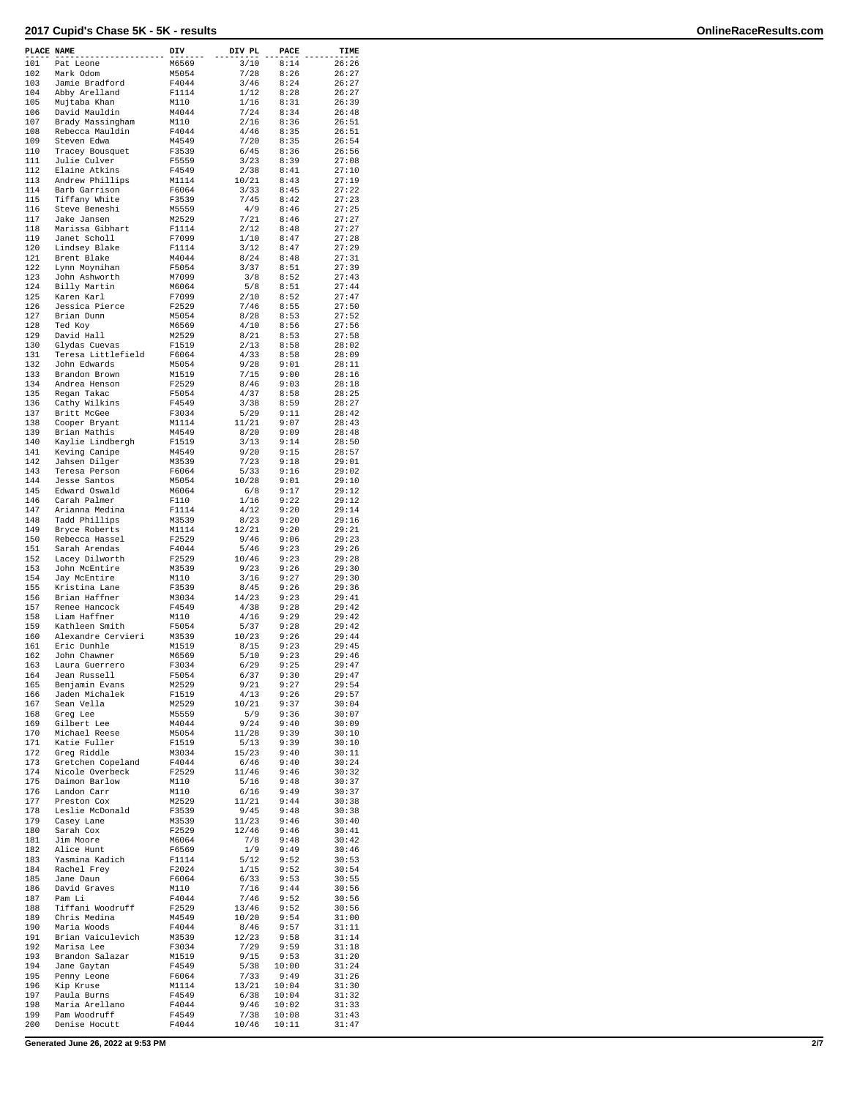| PLACE NAME |                    | DIV   | DIV PL | PACE  | TIME  |
|------------|--------------------|-------|--------|-------|-------|
| 101        | Pat Leone          | M6569 | 3/10   | 8:14  | 26:26 |
| 102        | Mark Odom          | M5054 | 7/28   | 8:26  | 26:27 |
| 103        | Jamie Bradford     | F4044 | 3/46   | 8:24  | 26:27 |
| 104        | Abby Arelland      | F1114 | 1/12   | 8:28  | 26:27 |
|            |                    |       |        |       |       |
| 105        | Mujtaba Khan       | M110  | 1/16   | 8:31  | 26:39 |
| 106        | David Mauldin      | M4044 | 7/24   | 8:34  | 26:48 |
| 107        | Brady Massingham   | M110  | 2/16   | 8:36  | 26:51 |
| 108        | Rebecca Mauldin    | F4044 | 4/46   | 8:35  | 26:51 |
| 109        | Steven Edwa        | M4549 | 7/20   | 8:35  | 26:54 |
| 110        | Tracey Bousquet    | F3539 | 6/45   | 8:36  | 26:56 |
| 111        | Julie Culver       | F5559 | 3/23   | 8:39  | 27:08 |
| 112        | Elaine Atkins      | F4549 | 2/38   | 8:41  | 27:10 |
|            |                    |       |        |       |       |
| 113        | Andrew Phillips    | M1114 | 10/21  | 8:43  | 27:19 |
| 114        | Barb Garrison      | F6064 | 3/33   | 8:45  | 27:22 |
| 115        | Tiffany White      | F3539 | 7/45   | 8:42  | 27:23 |
| 116        | Steve Beneshi      | M5559 | 4/9    | 8:46  | 27:25 |
| 117        | Jake Jansen        | M2529 | 7/21   | 8:46  | 27:27 |
| 118        | Marissa Gibhart    | F1114 | 2/12   | 8:48  | 27:27 |
| 119        | Janet Scholl       | F7099 | 1/10   | 8:47  | 27:28 |
| 120        |                    |       |        | 8:47  | 27:29 |
|            | Lindsey Blake      | F1114 | 3/12   |       |       |
| 121        | Brent Blake        | M4044 | 8/24   | 8:48  | 27:31 |
| 122        | Lynn Moynihan      | F5054 | 3/37   | 8:51  | 27:39 |
| 123        | John Ashworth      | M7099 | 3/8    | 8:52  | 27:43 |
| 124        | Billy Martin       | M6064 | 5/8    | 8:51  | 27:44 |
| 125        | Karen Karl         | F7099 | 2/10   | 8:52  | 27:47 |
| 126        | Jessica Pierce     | F2529 | 7/46   | 8:55  | 27:50 |
| 127        | Brian Dunn         | M5054 | 8/28   | 8:53  | 27:52 |
| 128        |                    | M6569 | 4/10   | 8:56  | 27:56 |
|            | Ted Koy            |       |        |       |       |
| 129        | David Hall         | M2529 | 8/21   | 8:53  | 27:58 |
| 130        | Glydas Cuevas      | F1519 | 2/13   | 8:58  | 28:02 |
| 131        | Teresa Littlefield | F6064 | 4/33   | 8:58  | 28:09 |
| 132        | John Edwards       | M5054 | 9/28   | 9:01  | 28:11 |
| 133        | Brandon Brown      | M1519 | 7/15   | 9:00  | 28:16 |
| 134        | Andrea Henson      | F2529 | 8/46   | 9:03  | 28:18 |
| 135        | Regan Takac        | F5054 | 4/37   | 8:58  | 28:25 |
| 136        |                    |       |        | 8:59  | 28:27 |
|            | Cathy Wilkins      | F4549 | 3/38   |       |       |
| 137        | Britt McGee        | F3034 | 5/29   | 9:11  | 28:42 |
| 138        | Cooper Bryant      | M1114 | 11/21  | 9:07  | 28:43 |
| 139        | Brian Mathis       | M4549 | 8/20   | 9:09  | 28:48 |
| 140        | Kaylie Lindbergh   | F1519 | 3/13   | 9:14  | 28:50 |
| 141        | Keving Canipe      | M4549 | 9/20   | 9:15  | 28:57 |
| 142        | Jahsen Dilger      | M3539 | 7/23   | 9:18  | 29:01 |
| 143        | Teresa Person      | F6064 | 5/33   | 9:16  | 29:02 |
|            |                    |       |        |       |       |
| 144        | Jesse Santos       | M5054 | 10/28  | 9:01  | 29:10 |
| 145        | Edward Oswald      | M6064 | 6/8    | 9:17  | 29:12 |
| 146        | Carah Palmer       | F110  | 1/16   | 9:22  | 29:12 |
| 147        | Arianna Medina     | F1114 | 4/12   | 9:20  | 29:14 |
| 148        | Tadd Phillips      | M3539 | 8/23   | 9:20  | 29:16 |
| 149        | Bryce Roberts      | M1114 | 12/21  | 9:20  | 29:21 |
| 150        | Rebecca Hassel     | F2529 | 9/46   | 9:06  | 29:23 |
| 151        | Sarah Arendas      | F4044 | 5/46   | 9:23  | 29:26 |
| 152        |                    | F2529 | 10/46  | 9:23  | 29:28 |
|            | Lacey Dilworth     |       |        |       |       |
| 153        | John McEntire      | M3539 | 9/23   | 9:26  | 29:30 |
| 154        | Jay McEntire       | M110  | 3/16   | 9:27  | 29:30 |
| 155        | Kristina Lane      | F3539 | 8/45   | 9:26  | 29:36 |
| 156        | Brian Haffner      | M3034 | 14/23  | 9:23  | 29:41 |
| 157        | Renee Hancock      | F4549 | 4/38   | 9:28  | 29:42 |
| 158        | Liam Haffner       | M110  | 4/16   | 9:29  | 29:42 |
| 159        | Kathleen Smith     | F5054 | 5/37   | 9:28  | 29:42 |
| 160        | Alexandre Cervieri | M3539 | 10/23  | 9:26  | 29:44 |
| 161        | Eric Dunhle        | M1519 | 8/15   | 9:23  | 29:45 |
|            |                    |       |        |       |       |
| 162        | John Chawner       | M6569 | 5/10   | 9:23  | 29:46 |
| 163        | Laura Guerrero     | F3034 | 6/29   | 9:25  | 29:47 |
| 164        | Jean Russell       | F5054 | 6/37   | 9:30  | 29:47 |
| 165        | Benjamin Evans     | M2529 | 9/21   | 9:27  | 29:54 |
| 166        | Jaden Michalek     | F1519 | 4/13   | 9:26  | 29:57 |
| 167        | Sean Vella         | M2529 | 10/21  | 9:37  | 30:04 |
| 168        | Greq Lee           | M5559 | 5/9    | 9:36  | 30:07 |
| 169        | Gilbert Lee        | M4044 | 9/24   | 9:40  | 30:09 |
| 170        |                    |       | 11/28  | 9:39  | 30:10 |
|            | Michael Reese      | M5054 |        |       |       |
| 171        | Katie Fuller       | F1519 | 5/13   | 9:39  | 30:10 |
| 172        | Greg Riddle        | M3034 | 15/23  | 9:40  | 30:11 |
| 173        | Gretchen Copeland  | F4044 | 6/46   | 9:40  | 30:24 |
| 174        | Nicole Overbeck    | F2529 | 11/46  | 9:46  | 30:32 |
| 175        | Daimon Barlow      | M110  | 5/16   | 9:48  | 30:37 |
| 176        | Landon Carr        | M110  | 6/16   | 9:49  | 30:37 |
| 177        | Preston Cox        | M2529 | 11/21  | 9:44  | 30:38 |
| 178        | Leslie McDonald    | F3539 | 9/45   | 9:48  | 30:38 |
|            |                    |       |        |       |       |
| 179        | Casey Lane         | M3539 | 11/23  | 9:46  | 30:40 |
| 180        | Sarah Cox          | F2529 | 12/46  | 9:46  | 30:41 |
| 181        | Jim Moore          | M6064 | 7/8    | 9:48  | 30:42 |
| 182        | Alice Hunt         | F6569 | $1/9$  | 9:49  | 30:46 |
| 183        | Yasmina Kadich     | F1114 | 5/12   | 9:52  | 30:53 |
| 184        | Rachel Frey        | F2024 | 1/15   | 9:52  | 30:54 |
| 185        | Jane Daun          | F6064 | 6/33   | 9:53  | 30:55 |
| 186        | David Graves       | M110  | 7/16   | 9:44  | 30:56 |
| 187        | Pam Li             | F4044 | 7/46   | 9:52  | 30:56 |
|            |                    |       |        |       |       |
| 188        | Tiffani Woodruff   | F2529 | 13/46  | 9:52  | 30:56 |
| 189        | Chris Medina       | M4549 | 10/20  | 9:54  | 31:00 |
| 190        | Maria Woods        | F4044 | 8/46   | 9:57  | 31:11 |
| 191        | Brian Vaiculevich  | M3539 | 12/23  | 9:58  | 31:14 |
| 192        | Marisa Lee         | F3034 | 7/29   | 9:59  | 31:18 |
| 193        | Brandon Salazar    | M1519 | 9/15   | 9:53  | 31:20 |
| 194        | Jane Gaytan        | F4549 | 5/38   | 10:00 | 31:24 |
| 195        | Penny Leone        | F6064 | 7/33   | 9:49  | 31:26 |
| 196        | Kip Kruse          | M1114 | 13/21  | 10:04 | 31:30 |
| 197        | Paula Burns        | F4549 | 6/38   | 10:04 | 31:32 |
| 198        |                    | F4044 | 9/46   | 10:02 | 31:33 |
|            | Maria Arellano     |       |        |       |       |
| 199        | Pam Woodruff       | F4549 | 7/38   | 10:08 | 31:43 |
| 200        | Denise Hocutt      | F4044 | 10/46  | 10:11 | 31:47 |

**Generated June 26, 2022 at 9:53 PM 2/7**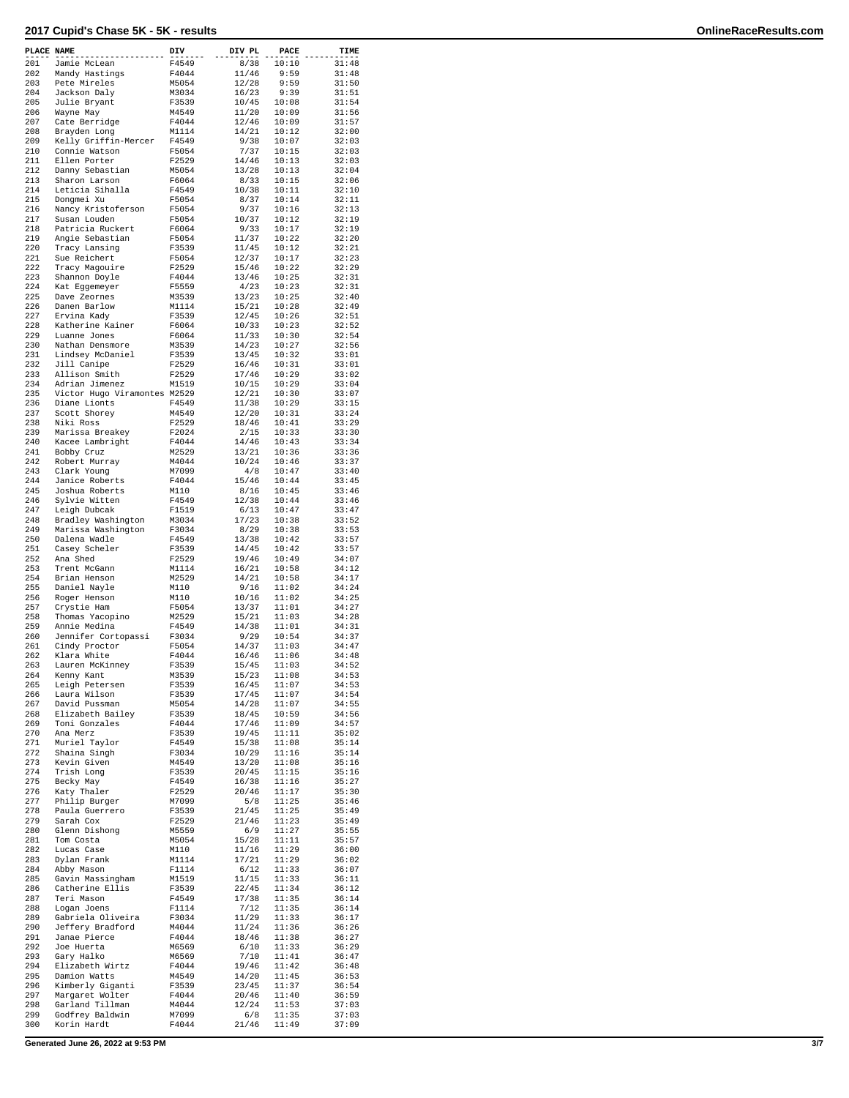| PLACE NAME |                                  | DIV            | DIV PL         | PACE           | TIME           |
|------------|----------------------------------|----------------|----------------|----------------|----------------|
| 201        | Jamie McLean                     | F4549          | 8/38           | 10:10          | 31:48          |
| 202        | Mandy Hastings                   | F4044          | 11/46          | 9:59           | 31:48          |
| 203        | Pete Mireles                     | M5054          | 12/28          | 9:59           | 31:50          |
| 204        | Jackson Daly                     | M3034          | 16/23          | 9:39           | 31:51          |
| 205        | Julie Bryant                     | F3539          | 10/45          | 10:08          | 31:54          |
| 206        | Wayne May                        | M4549          | 11/20          | 10:09          | 31:56          |
| 207        | Cate Berridge                    | F4044          | 12/46          | 10:09          | 31:57          |
| 208        | Brayden Long                     | M1114          | 14/21          | 10:12          | 32:00          |
| 209        | Kelly Griffin-Mercer             | F4549          | 9/38           | 10:07          | 32:03          |
| 210<br>211 | Connie Watson                    | F5054          | 7/37           | 10:15          | 32:03          |
| 212        | Ellen Porter<br>Danny Sebastian  | F2529<br>M5054 | 14/46<br>13/28 | 10:13<br>10:13 | 32:03<br>32:04 |
| 213        | Sharon Larson                    | F6064          | 8/33           | 10:15          | 32:06          |
| 214        | Leticia Sihalla                  | F4549          | 10/38          | 10:11          | 32:10          |
| 215        | Dongmei Xu                       | F5054          | 8/37           | 10:14          | 32:11          |
| 216        | Nancy Kristoferson               | F5054          | 9/37           | 10:16          | 32:13          |
| 217        | Susan Louden                     | F5054          | 10/37          | 10:12          | 32:19          |
| 218        | Patricia Ruckert                 | F6064          | 9/33           | 10:17          | 32:19          |
| 219        | Angie Sebastian                  | F5054          | 11/37          | 10:22          | 32:20          |
| 220        | Tracy Lansing                    | F3539          | 11/45          | 10:12          | 32:21          |
| 221        | Sue Reichert                     | F5054          | 12/37          | 10:17          | 32:23          |
| 222        | Tracy Magouire                   | F2529          | 15/46          | 10:22          | 32:29          |
| 223        | Shannon Doyle                    | F4044          | 13/46          | 10:25          | 32:31          |
| 224        | Kat Eggemeyer                    | F5559          | 4/23           | 10:23          | 32:31          |
| 225        | Dave Zeornes                     | M3539          | 13/23          | 10:25          | 32:40          |
| 226        | Danen Barlow                     | M1114          | 15/21          | 10:28          | 32:49          |
| 227        | Ervina Kady                      | F3539          | 12/45          | 10:26          | 32:51          |
| 228<br>229 | Katherine Kainer<br>Luanne Jones | F6064<br>F6064 | 10/33<br>11/33 | 10:23<br>10:30 | 32:52<br>32:54 |
| 230        | Nathan Densmore                  | M3539          | 14/23          | 10:27          | 32:56          |
| 231        | Lindsey McDaniel                 | F3539          | 13/45          | 10:32          | 33:01          |
| 232        | Jill Canipe                      | F2529          | 16/46          | 10:31          | 33:01          |
| 233        | Allison Smith                    | F2529          | 17/46          | 10:29          | 33:02          |
| 234        | Adrian Jimenez                   | M1519          | 10/15          | 10:29          | 33:04          |
| 235        | Victor Hugo Viramontes M2529     |                | 12/21          | 10:30          | 33:07          |
| 236        | Diane Lionts                     | F4549          | 11/38          | 10:29          | 33:15          |
| 237        | Scott Shorey                     | M4549          | 12/20          | 10:31          | 33:24          |
| 238        | Niki Ross                        | F2529          | 18/46          | 10:41          | 33:29          |
| 239        | Marissa Breakey                  | F2024          | 2/15           | 10:33          | 33:30          |
| 240        | Kacee Lambright                  | F4044          | 14/46          | 10:43          | 33:34          |
| 241        | Bobby Cruz                       | M2529          | 13/21          | 10:36          | 33:36          |
| 242        | Robert Murray                    | M4044          | 10/24          | 10:46          | 33:37          |
| 243        | Clark Young                      | M7099          | 4/8            | 10:47          | 33:40          |
| 244        | Janice Roberts                   | F4044          | 15/46          | 10:44          | 33:45          |
| 245        | Joshua Roberts                   | M110           | 8/16<br>12/38  | 10:45          | 33:46          |
| 246<br>247 | Sylvie Witten<br>Leigh Dubcak    | F4549<br>F1519 | 6/13           | 10:44<br>10:47 | 33:46<br>33:47 |
| 248        | Bradley Washington               | M3034          | 17/23          | 10:38          | 33:52          |
| 249        | Marissa Washington               | F3034          | 8/29           | 10:38          | 33:53          |
| 250        | Dalena Wadle                     | F4549          | 13/38          | 10:42          | 33:57          |
| 251        | Casey Scheler                    | F3539          | 14/45          | 10:42          | 33:57          |
| 252        | Ana Shed                         | F2529          | 19/46          | 10:49          | 34:07          |
| 253        | Trent McGann                     | M1114          | 16/21          | 10:58          | 34:12          |
| 254        | Brian Henson                     | M2529          | 14/21          | 10:58          | 34:17          |
| 255        | Daniel Nayle                     | M110           | 9/16           | 11:02          | 34:24          |
| 256        | Roger Henson                     | M110           | 10/16          | 11:02          | 34:25          |
| 257        | Crystie Ham                      | F5054          | 13/37          | 11:01          | 34:27          |
| 258        | Thomas Yacopino                  | M2529          | 15/21          | 11:03          | 34:28          |
| 259        | Annie Medina                     | F4549          | 14/38          | 11:01          | 34:31          |
| 260        | Jennifer Cortopassi              | F3034          | 9/29           | 10:54          | 34:37          |
| 261        | Cindy Proctor                    | F5054          | 14/37          | 11:03          | 34:47          |
| 262<br>263 | Klara White<br>Lauren McKinney   | F4044<br>F3539 | 16/46<br>15/45 | 11:06<br>11:03 | 34:48<br>34:52 |
| 264        |                                  | M3539          | 15/23          | 11:08          | 34:53          |
| 265        | Kenny Kant<br>Leigh Petersen     | F3539          | 16/45          | 11:07          | 34:53          |
| 266        | Laura Wilson                     | F3539          | 17/45          | 11:07          | 34:54          |
| 267        | David Pussman                    | M5054          | 14/28          | 11:07          | 34:55          |
| 268        | Elizabeth Bailey                 | F3539          | 18/45          | 10:59          | 34:56          |
| 269        | Toni Gonzales                    | F4044          | 17/46          | 11:09          | 34:57          |
| 270        | Ana Merz                         | F3539          | 19/45          | 11:11          | 35:02          |
| 271        | Muriel Taylor                    | F4549          | 15/38          | 11:08          | 35:14          |
| 272        | Shaina Singh                     | F3034          | 10/29          | 11:16          | 35:14          |
| 273        | Kevin Given                      | M4549          | 13/20          | 11:08          | 35:16          |
| 274        | Trish Long                       | F3539          | 20/45          | 11:15          | 35:16          |
| 275        | Becky May                        | F4549          | 16/38          | 11:16          | 35:27          |
| 276        | Katy Thaler                      | F2529          | 20/46          | 11:17          | 35:30          |
| 277<br>278 | Philip Burger<br>Paula Guerrero  | M7099<br>F3539 | 5/8<br>21/45   | 11:25<br>11:25 | 35:46<br>35:49 |
| 279        | Sarah Cox                        | F2529          | 21/46          | 11:23          | 35:49          |
| 280        | Glenn Dishong                    | M5559          | 6/9            | 11:27          | 35:55          |
| 281        | Tom Costa                        | M5054          | 15/28          | 11:11          | 35:57          |
| 282        | Lucas Case                       | M110           | 11/16          | 11:29          | 36:00          |
| 283        | Dylan Frank                      | M1114          | 17/21          | 11:29          | 36:02          |
| 284        | Abby Mason                       | F1114          | 6/12           | 11:33          | 36:07          |
| 285        | Gavin Massingham                 | M1519          | 11/15          | 11:33          | 36:11          |
| 286        | Catherine Ellis                  | F3539          | 22/45          | 11:34          | 36:12          |
| 287        | Teri Mason                       | F4549          | 17/38          | 11:35          | 36:14          |
| 288        | Logan Joens                      | F1114          | 7/12           | 11:35          | 36:14          |
| 289        | Gabriela Oliveira                | F3034          | 11/29          | 11:33          | 36:17          |
| 290        | Jeffery Bradford                 | M4044          | 11/24          | 11:36          | 36:26          |
| 291        | Janae Pierce                     | F4044          | 18/46          | 11:38          | 36:27          |
| 292        | Joe Huerta                       | M6569          | 6/10           | 11:33          | 36:29          |
| 293        | Gary Halko                       | M6569          | 7/10           | 11:41          | 36:47          |
| 294<br>295 | Elizabeth Wirtz<br>Damion Watts  | F4044<br>M4549 | 19/46<br>14/20 | 11:42<br>11:45 | 36:48<br>36:53 |
| 296        | Kimberly Giganti                 | F3539          | 23/45          | 11:37          | 36:54          |
| 297        | Margaret Wolter                  | F4044          | 20/46          | 11:40          | 36:59          |
| 298        | Garland Tillman                  | M4044          | 12/24          | 11:53          | 37:03          |
| 299        | Godfrey Baldwin                  | M7099          | 6/8            | 11:35          | 37:03          |
| 300        | Korin Hardt                      | F4044          | 21/46          | 11:49          | 37:09          |
|            |                                  |                |                |                |                |

**Generated June 26, 2022 at 9:53 PM 3/7**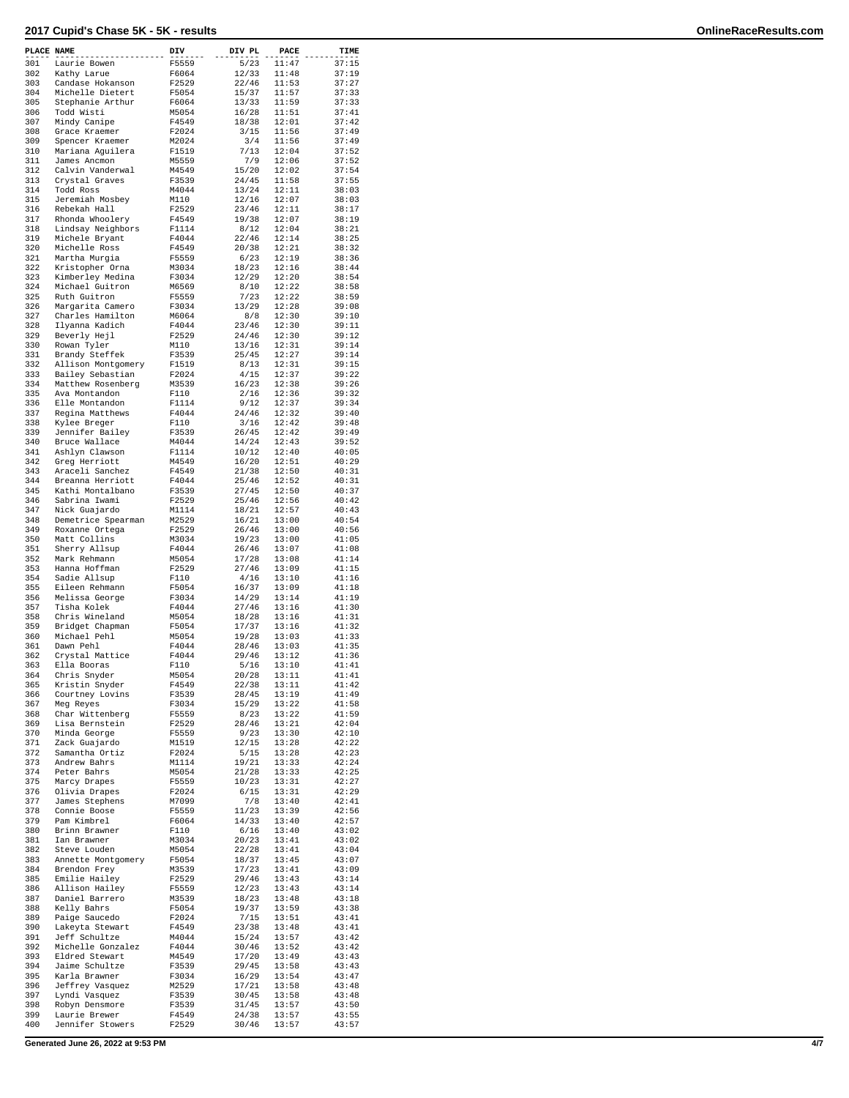| PLACE NAME |                                      | DIV            | DIV PL         | PACE           | TIME           |
|------------|--------------------------------------|----------------|----------------|----------------|----------------|
| 301        | Laurie Bowen                         | F5559          | 5/23           | 11:47          | 37:15          |
| 302        | Kathy Larue                          | F6064          | 12/33          | 11:48          | 37:19          |
| 303        | Candase Hokanson                     | F2529          | 22/46          | 11:53<br>11:57 | 37:27          |
| 304<br>305 | Michelle Dietert<br>Stephanie Arthur | F5054<br>F6064 | 15/37<br>13/33 | 11:59          | 37:33<br>37:33 |
| 306        | Todd Wisti                           | M5054          | 16/28          | 11:51          | 37:41          |
| 307        | Mindy Canipe                         | F4549          | 18/38          | 12:01          | 37:42          |
| 308        | Grace Kraemer                        | F2024          | 3/15           | 11:56          | 37:49          |
| 309        | Spencer Kraemer                      | M2024          | 3/4            | 11:56          | 37:49          |
| 310        | Mariana Aguilera                     | F1519          | 7/13           | 12:04          | 37:52          |
| 311        | James Ancmon                         | M5559          | 7/9            | 12:06          | 37:52          |
| 312        | Calvin Vanderwal                     | M4549          | 15/20          | 12:02          | 37:54          |
| 313        | Crystal Graves                       | F3539          | 24/45          | 11:58          | 37:55          |
| 314        | Todd Ross                            | M4044          | 13/24          | 12:11          | 38:03          |
| 315        | Jeremiah Mosbey                      | M110           | 12/16          | 12:07          | 38:03          |
| 316<br>317 | Rebekah Hall<br>Rhonda Whoolery      | F2529<br>F4549 | 23/46<br>19/38 | 12:11<br>12:07 | 38:17<br>38:19 |
| 318        | Lindsay Neighbors                    | F1114          | 8/12           | 12:04          | 38:21          |
| 319        | Michele Bryant                       | F4044          | 22/46          | 12:14          | 38:25          |
| 320        | Michelle Ross                        | F4549          | 20/38          | 12:21          | 38:32          |
| 321        | Martha Murgia                        | F5559          | 6/23           | 12:19          | 38:36          |
| 322        | Kristopher Orna                      | M3034          | 18/23          | 12:16          | 38:44          |
| 323        | Kimberley Medina                     | F3034          | 12/29          | 12:20          | 38:54          |
| 324        | Michael Guitron                      | M6569          | 8/10           | 12:22          | 38:58          |
| 325        | Ruth Guitron                         | F5559          | 7/23           | 12:22          | 38:59          |
| 326<br>327 | Margarita Camero                     | F3034          | 13/29          | 12:28<br>12:30 | 39:08<br>39:10 |
| 328        | Charles Hamilton<br>Ilyanna Kadich   | M6064<br>F4044 | 8/8<br>23/46   | 12:30          | 39:11          |
| 329        | Beverly Hejl                         | F2529          | 24/46          | 12:30          | 39:12          |
| 330        | Rowan Tyler                          | M110           | 13/16          | 12:31          | 39:14          |
| 331        | Brandy Steffek                       | F3539          | 25/45          | 12:27          | 39:14          |
| 332        | Allison Montgomery                   | F1519          | 8/13           | 12:31          | 39:15          |
| 333        | Bailey Sebastian                     | F2024          | 4/15           | 12:37          | 39:22          |
| 334        | Matthew Rosenberg                    | M3539          | 16/23          | 12:38          | 39:26          |
| 335        | Ava Montandon                        | F110           | 2/16           | 12:36          | 39:32          |
| 336        | Elle Montandon                       | F1114          | 9/12           | 12:37          | 39:34          |
| 337        | Regina Matthews                      | F4044          | 24/46          | 12:32          | 39:40          |
| 338<br>339 | Kylee Breger<br>Jennifer Bailey      | F110<br>F3539  | 3/16           | 12:42<br>12:42 | 39:48<br>39:49 |
| 340        | Bruce Wallace                        | M4044          | 26/45<br>14/24 | 12:43          | 39:52          |
| 341        | Ashlyn Clawson                       | F1114          | 10/12          | 12:40          | 40:05          |
| 342        | Greg Herriott                        | M4549          | 16/20          | 12:51          | 40:29          |
| 343        | Araceli Sanchez                      | F4549          | 21/38          | 12:50          | 40:31          |
| 344        | Breanna Herriott                     | F4044          | 25/46          | 12:52          | 40:31          |
| 345        | Kathi Montalbano                     | F3539          | 27/45          | 12:50          | 40:37          |
| 346        | Sabrina Iwami                        | F2529          | 25/46          | 12:56          | 40:42          |
| 347        | Nick Guajardo                        | M1114          | 18/21          | 12:57          | 40:43          |
| 348        | Demetrice Spearman                   | M2529          | 16/21          | 13:00          | 40:54          |
| 349        | Roxanne Ortega                       | F2529          | 26/46          | 13:00          | 40:56          |
| 350<br>351 | Matt Collins<br>Sherry Allsup        | M3034<br>F4044 | 19/23<br>26/46 | 13:00<br>13:07 | 41:05<br>41:08 |
| 352        | Mark Rehmann                         | M5054          | 17/28          | 13:08          | 41:14          |
| 353        | Hanna Hoffman                        | F2529          | 27/46          | 13:09          | 41:15          |
| 354        | Sadie Allsup                         | F110           | 4/16           | 13:10          | 41:16          |
| 355        | Eileen Rehmann                       | F5054          | 16/37          | 13:09          | 41:18          |
| 356        | Melissa George                       | F3034          | 14/29          | 13:14          | 41:19          |
| 357        | Tisha Kolek                          | F4044          | 27/46          | 13:16          | 41:30          |
| 358        | Chris Wineland                       | M5054          | 18/28          | 13:16          | 41:31          |
| 359        | Bridget Chapman                      | F5054          | 17/37          | 13:16          | 41:32          |
| 360        | Michael Pehl                         | M5054          | 19/28          | 13:03          | 41:33          |
| 361<br>362 | Dawn Pehl                            | F4044<br>F4044 | 28/46          | 13:03<br>13:12 | 41:35          |
| 363        | Crystal Mattice<br>Ella Booras       | F110           | 29/46<br>5/16  | 13:10          | 41:36<br>41:41 |
| 364        | Chris Snyder                         | M5054          | 20/28          | 13:11          | 41:41          |
| 365        | Kristin Snyder                       | F4549          | 22/38          | 13:11          | 41:42          |
| 366        | Courtney Lovins                      | F3539          | 28/45          | 13:19          | 41:49          |
| 367        | Meg Reyes                            | F3034          | 15/29          | 13:22          | 41:58          |
| 368        | Char Wittenberg                      | F5559          | 8/23           | 13:22          | 41:59          |
| 369        | Lisa Bernstein                       | F2529          | 28/46          | 13:21          | 42:04          |
| 370        | Minda George                         | F5559          | 9/23           | 13:30          | 42:10          |
| 371<br>372 | Zack Guajardo<br>Samantha Ortiz      | M1519<br>F2024 | 12/15<br>5/15  | 13:28<br>13:28 | 42:22<br>42:23 |
| 373        | Andrew Bahrs                         | M1114          | 19/21          | 13:33          | 42:24          |
| 374        | Peter Bahrs                          | M5054          | 21/28          | 13:33          | 42:25          |
| 375        | Marcy Drapes                         | F5559          | 10/23          | 13:31          | 42:27          |
| 376        | Olivia Drapes                        | F2024          | 6/15           | 13:31          | 42:29          |
| 377        | James Stephens                       | M7099          | 7/8            | 13:40          | 42:41          |
| 378        | Connie Boose                         | F5559          | 11/23          | 13:39          | 42:56          |
| 379        | Pam Kimbrel                          | F6064          | 14/33          | 13:40          | 42:57          |
| 380        | Brinn Brawner                        | F110           | 6/16           | 13:40          | 43:02          |
| 381        | Ian Brawner                          | M3034          | 20/23          | 13:41          | 43:02          |
| 382        | Steve Louden                         | M5054          | 22/28          | 13:41          | 43:04          |
| 383<br>384 | Annette Montgomery                   | F5054          | 18/37          | 13:45          | 43:07          |
| 385        | Brendon Frey<br>Emilie Hailey        | M3539<br>F2529 | 17/23<br>29/46 | 13:41<br>13:43 | 43:09<br>43:14 |
| 386        | Allison Hailey                       | F5559          | 12/23          | 13:43          | 43:14          |
| 387        | Daniel Barrero                       | M3539          | 18/23          | 13:48          | 43:18          |
| 388        | Kelly Bahrs                          | F5054          | 19/37          | 13:59          | 43:38          |
| 389        | Paige Saucedo                        | F2024          | 7/15           | 13:51          | 43:41          |
| 390        | Lakeyta Stewart                      | F4549          | 23/38          | 13:48          | 43:41          |
| 391        | Jeff Schultze                        | M4044          | 15/24          | 13:57          | 43:42          |
| 392        | Michelle Gonzalez                    | F4044          | 30/46          | 13:52          | 43:42          |
| 393        | Eldred Stewart                       | M4549          | 17/20          | 13:49          | 43:43          |
| 394        | Jaime Schultze                       | F3539          | 29/45          | 13:58          | 43:43          |
| 395<br>396 | Karla Brawner                        | F3034<br>M2529 | 16/29<br>17/21 | 13:54<br>13:58 | 43:47<br>43:48 |
| 397        | Jeffrey Vasquez<br>Lyndi Vasquez     | F3539          | 30/45          | 13:58          | 43:48          |
| 398        | Robyn Densmore                       | F3539          | 31/45          | 13:57          | 43:50          |
| 399        | Laurie Brewer                        | F4549          | 24/38          | 13:57          | 43:55          |
| 400        | Jennifer Stowers                     | F2529          | 30/46          | 13:57          | 43:57          |
|            |                                      |                |                |                |                |

**Generated June 26, 2022 at 9:53 PM 4/7**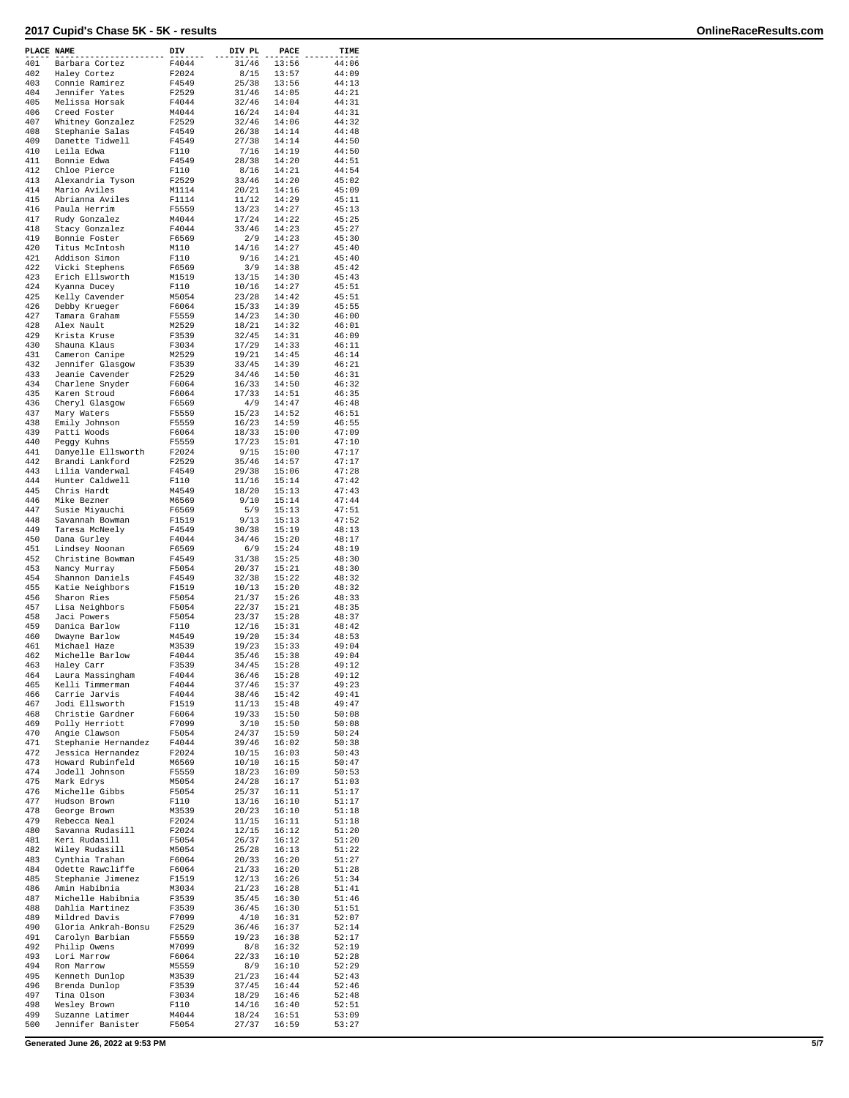| PLACE NAME |                                      | DIV            | DIV PL         | PACE           | TIME           |
|------------|--------------------------------------|----------------|----------------|----------------|----------------|
| 401        | Barbara Cortez                       | F4044          | 31/46          | 13:56          | 44:06          |
| 402        | Haley Cortez                         | F2024          | 8/15           | 13:57          | 44:09          |
| 403        | Connie Ramirez                       | F4549          | 25/38          | 13:56          | 44:13          |
| 404        | Jennifer Yates                       | F2529          | 31/46          | 14:05          | 44:21          |
| 405        | Melissa Horsak                       | F4044          | 32/46          | 14:04          | 44:31          |
| 406        | Creed Foster                         | M4044          | 16/24          | 14:04          | 44:31          |
| 407        | Whitney Gonzalez                     | F2529          | 32/46          | 14:06          | 44:32          |
| 408        | Stephanie Salas                      | F4549          | 26/38          | 14:14          | 44:48          |
| 409        | Danette Tidwell                      | F4549          | 27/38          | 14:14          | 44:50          |
| 410        | Leila Edwa                           | F110           | 7/16           | 14:19          | 44:50          |
| 411<br>412 | Bonnie Edwa<br>Chloe Pierce          | F4549<br>F110  | 28/38<br>8/16  | 14:20<br>14:21 | 44:51<br>44:54 |
| 413        | Alexandria Tyson                     | F2529          | 33/46          | 14:20          | 45:02          |
| 414        | Mario Aviles                         | M1114          | 20/21          | 14:16          | 45:09          |
| 415        | Abrianna Aviles                      | F1114          | 11/12          | 14:29          | 45:11          |
| 416        | Paula Herrim                         | F5559          | 13/23          | 14:27          | 45:13          |
| 417        | Rudy Gonzalez                        | M4044          | 17/24          | 14:22          | 45:25          |
| 418        | Stacy Gonzalez                       | F4044          | 33/46          | 14:23          | 45:27          |
| 419        | Bonnie Foster                        | F6569          | 2/9            | 14:23          | 45:30          |
| 420        | Titus McIntosh                       | M110           | 14/16          | 14:27          | 45:40          |
| 421        | Addison Simon                        | F110           | 9/16           | 14:21          | 45:40          |
| 422        | Vicki Stephens                       | F6569          | 3/9            | 14:38          | 45:42          |
| 423        | Erich Ellsworth                      | M1519          | 13/15          | 14:30          | 45:43          |
| 424        | Kyanna Ducey                         | F110           | 10/16          | 14:27          | 45:51          |
| 425        | Kelly Cavender                       | M5054          | 23/28          | 14:42          | 45:51          |
| 426<br>427 | Debby Krueger                        | F6064          | 15/33          | 14:39          | 45:55          |
| 428        | Tamara Graham<br>Alex Nault          | F5559<br>M2529 | 14/23<br>18/21 | 14:30<br>14:32 | 46:00<br>46:01 |
| 429        | Krista Kruse                         | F3539          | 32/45          | 14:31          | 46:09          |
| 430        | Shauna Klaus                         | F3034          | 17/29          | 14:33          | 46:11          |
| 431        | Cameron Canipe                       | M2529          | 19/21          | 14:45          | 46:14          |
| 432        | Jennifer Glasgow                     | F3539          | 33/45          | 14:39          | 46:21          |
| 433        | Jeanie Cavender                      | F2529          | 34/46          | 14:50          | 46:31          |
| 434        | Charlene Snyder                      | F6064          | 16/33          | 14:50          | 46:32          |
| 435        | Karen Stroud                         | F6064          | 17/33          | 14:51          | 46:35          |
| 436        | Cheryl Glasgow                       | F6569          | 4/9            | 14:47          | 46:48          |
| 437        | Mary Waters                          | F5559          | 15/23          | 14:52          | 46:51          |
| 438        | Emily Johnson                        | F5559          | 16/23          | 14:59          | 46:55          |
| 439        | Patti Woods                          | F6064          | 18/33          | 15:00          | 47:09          |
| 440        | Peggy Kuhns                          | F5559          | 17/23          | 15:01          | 47:10          |
| 441        | Danyelle Ellsworth                   | F2024          | 9/15           | 15:00          | 47:17          |
| 442<br>443 | Brandi Lankford                      | F2529          | 35/46          | 14:57          | 47:17          |
| 444        | Lilia Vanderwal<br>Hunter Caldwell   | F4549<br>F110  | 29/38          | 15:06<br>15:14 | 47:28<br>47:42 |
| 445        | Chris Hardt                          | M4549          | 11/16<br>18/20 | 15:13          | 47:43          |
| 446        | Mike Bezner                          | M6569          | 9/10           | 15:14          | 47:44          |
| 447        | Susie Miyauchi                       | F6569          | 5/9            | 15:13          | 47:51          |
| 448        | Savannah Bowman                      | F1519          | 9/13           | 15:13          | 47:52          |
| 449        | Taresa McNeely                       | F4549          | 30/38          | 15:19          | 48:13          |
| 450        | Dana Gurley                          | F4044          | 34/46          | 15:20          | 48:17          |
| 451        | Lindsey Noonan                       | F6569          | 6/9            | 15:24          | 48:19          |
| 452        | Christine Bowman                     | F4549          | 31/38          | 15:25          | 48:30          |
| 453        | Nancy Murray                         | F5054          | 20/37          | 15:21          | 48:30          |
| 454        | Shannon Daniels                      | F4549          | 32/38          | 15:22          | 48:32          |
| 455        | Katie Neighbors                      | F1519          | 10/13          | 15:20          | 48:32          |
| 456        | Sharon Ries                          | F5054          | 21/37          | 15:26          | 48:33          |
| 457        | Lisa Neighbors                       | F5054          | 22/37          | 15:21          | 48:35          |
| 458<br>459 | Jaci Powers<br>Danica Barlow         | F5054          | 23/37<br>12/16 | 15:28<br>15:31 | 48:37<br>48:42 |
| 460        | Dwayne Barlow                        | F110<br>M4549  | 19/20          | 15:34          | 48:53          |
| 461        | Michael Haze                         | M3539          | 19/23          | 15:33          | 49:04          |
| 462        | Michelle Barlow                      | F4044          | 35/46          | 15:38          | 49:04          |
| 463        | Haley Carr                           | F3539          | 34/45          | 15:28          | 49:12          |
| 464        | Laura Massingham                     | F4044          | 36/46          | 15:28          | 49:12          |
| 465        | Kelli Timmerman                      | F4044          | 37/46          | 15:37          | 49:23          |
| 466        | Carrie Jarvis                        | F4044          | 38/46          | 15:42          | 49:41          |
| 467        | Jodi Ellsworth                       | F1519          | 11/13          | 15:48          | 49:47          |
| 468        | Christie Gardner                     | F6064          | 19/33          | 15:50          | 50:08          |
| 469        | Polly Herriott                       | F7099          | 3/10           | 15:50          | 50:08          |
| 470<br>471 | Angie Clawson<br>Stephanie Hernandez | F5054<br>F4044 | 24/37<br>39/46 | 15:59<br>16:02 | 50:24<br>50:38 |
| 472        | Jessica Hernandez                    | F2024          | 10/15          | 16:03          | 50:43          |
| 473        | Howard Rubinfeld                     | M6569          | 10/10          | 16:15          | 50:47          |
| 474        | Jodell Johnson                       | F5559          | 18/23          | 16:09          | 50:53          |
| 475        | Mark Edrys                           | M5054          | 24/28          | 16:17          | 51:03          |
| 476        | Michelle Gibbs                       | F5054          | 25/37          | 16:11          | 51:17          |
| 477        | Hudson Brown                         | F110           | 13/16          | 16:10          | 51:17          |
| 478        | George Brown                         | M3539          | 20/23          | 16:10          | 51:18          |
| 479        | Rebecca Neal                         | F2024          | 11/15          | 16:11          | 51:18          |
| 480        | Savanna Rudasill                     | F2024          | 12/15          | 16:12          | 51:20          |
| 481        | Keri Rudasill                        | F5054          | 26/37          | 16:12          | 51:20          |
| 482        | Wiley Rudasill                       | M5054          | 25/28          | 16:13          | 51:22          |
| 483<br>484 | Cynthia Trahan                       | F6064          | 20/33          | 16:20          | 51:27          |
| 485        | Odette Rawcliffe                     | F6064          | 21/33          | 16:20          | 51:28<br>51:34 |
| 486        | Stephanie Jimenez<br>Amin Habibnia   | F1519<br>M3034 | 12/13<br>21/23 | 16:26<br>16:28 | 51:41          |
| 487        | Michelle Habibnia                    | F3539          | 35/45          | 16:30          | 51:46          |
| 488        | Dahlia Martinez                      | F3539          | 36/45          | 16:30          | 51:51          |
| 489        | Mildred Davis                        | F7099          | 4/10           | 16:31          | 52:07          |
| 490        | Gloria Ankrah-Bonsu                  | F2529          | 36/46          | 16:37          | 52:14          |
| 491        | Carolyn Barbian                      | F5559          | 19/23          | 16:38          | 52:17          |
| 492        | Philip Owens                         | M7099          | 8/8            | 16:32          | 52:19          |
| 493        | Lori Marrow                          | F6064          | 22/33          | 16:10          | 52:28          |
| 494        | Ron Marrow                           | M5559          | 8/9            | 16:10          | 52:29          |
| 495        | Kenneth Dunlop                       | M3539          | 21/23          | 16:44          | 52:43          |
| 496        | Brenda Dunlop                        | F3539          | 37/45          | 16:44          | 52:46          |
| 497        | Tina Olson                           | F3034          | 18/29          | 16:46          | 52:48          |
| 498        | Wesley Brown                         | F110           | 14/16          | 16:40          | 52:51          |
| 499<br>500 | Suzanne Latimer<br>Jennifer Banister | M4044          | 18/24<br>27/37 | 16:51<br>16:59 | 53:09<br>53:27 |
|            |                                      | F5054          |                |                |                |

**Generated June 26, 2022 at 9:53 PM 5/7**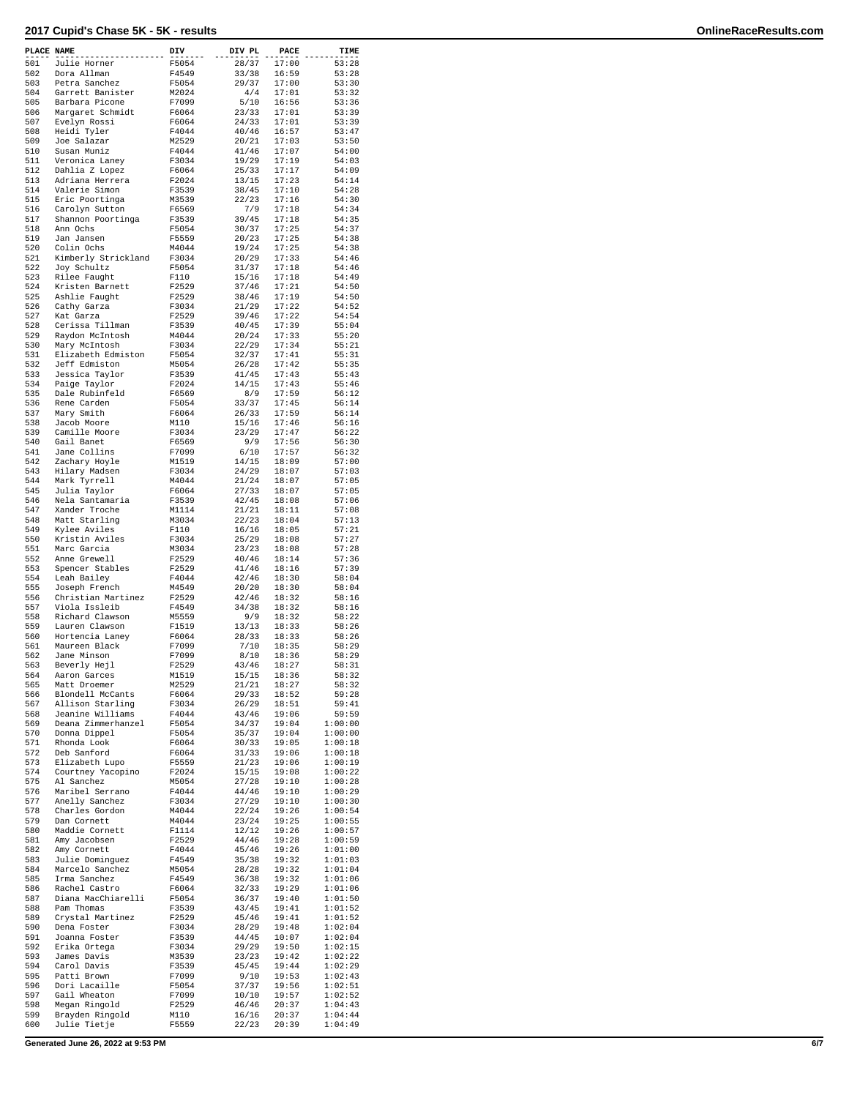| PLACE NAME |                                     | DIV            | DIV PL         | PACE           | TIME               |
|------------|-------------------------------------|----------------|----------------|----------------|--------------------|
| 501        | Julie Horner                        | F5054          | 28/37          | 17:00          | 53:28              |
| 502        | Dora Allman                         | F4549          | 33/38          | 16:59          | 53:28              |
| 503        | Petra Sanchez                       | F5054          | 29/37          | 17:00          | 53:30              |
| 504        | Garrett Banister                    | M2024          | 4/4            | 17:01          | 53:32              |
| 505        | Barbara Picone                      | F7099          | 5/10           | 16:56          | 53:36              |
| 506        | Margaret Schmidt                    | F6064          | 23/33          | 17:01          | 53:39              |
| 507        | Evelyn Rossi                        | F6064          | 24/33          | 17:01          | 53:39              |
| 508        | Heidi Tyler                         | F4044          | 40/46          | 16:57          | 53:47              |
| 509        | Joe Salazar                         | M2529          | 20/21          | 17:03          | 53:50              |
| 510        | Susan Muniz                         | F4044          | 41/46          | 17:07          | 54:00              |
| 511<br>512 | Veronica Laney<br>Dahlia Z Lopez    | F3034<br>F6064 | 19/29<br>25/33 | 17:19<br>17:17 | 54:03<br>54:09     |
| 513        | Adriana Herrera                     | F2024          | 13/15          | 17:23          | 54:14              |
| 514        | Valerie Simon                       | F3539          | 38/45          | 17:10          | 54:28              |
| 515        | Eric Poortinga                      | M3539          | 22/23          | 17:16          | 54:30              |
| 516        | Carolyn Sutton                      | F6569          | 7/9            | 17:18          | 54:34              |
| 517        | Shannon Poortinga                   | F3539          | 39/45          | 17:18          | 54:35              |
| 518        | Ann Ochs                            | F5054          | 30/37          | 17:25          | 54:37              |
| 519        | Jan Jansen                          | F5559          | 20/23          | 17:25          | 54:38              |
| 520        | Colin Ochs                          | M4044          | 19/24          | 17:25          | 54:38              |
| 521        | Kimberly Strickland                 | F3034          | 20/29          | 17:33          | 54:46              |
| 522        | Joy Schultz                         | F5054          | 31/37          | 17:18          | 54:46              |
| 523        | Rilee Faught                        | F110           | 15/16          | 17:18          | 54:49              |
| 524        | Kristen Barnett                     | F2529          | 37/46          | 17:21          | 54:50              |
| 525        | Ashlie Faught                       | F2529          | 38/46          | 17:19          | 54:50              |
| 526        | Cathy Garza                         | F3034          | 21/29          | 17:22          | 54:52              |
| 527<br>528 | Kat Garza<br>Cerissa Tillman        | F2529          | 39/46<br>40/45 | 17:22          | 54:54<br>55:04     |
| 529        | Raydon McIntosh                     | F3539<br>M4044 | 20/24          | 17:39<br>17:33 | 55:20              |
| 530        | Mary McIntosh                       | F3034          | 22/29          | 17:34          | 55:21              |
| 531        | Elizabeth Edmiston                  | F5054          | 32/37          | 17:41          | 55:31              |
| 532        | Jeff Edmiston                       | M5054          | 26/28          | 17:42          | 55:35              |
| 533        | Jessica Taylor                      | F3539          | 41/45          | 17:43          | 55:43              |
| 534        | Paige Taylor                        | F2024          | 14/15          | 17:43          | 55:46              |
| 535        | Dale Rubinfeld                      | F6569          | 8/9            | 17:59          | 56:12              |
| 536        | Rene Carden                         | F5054          | 33/37          | 17:45          | 56:14              |
| 537        | Mary Smith                          | F6064          | 26/33          | 17:59          | 56:14              |
| 538        | Jacob Moore                         | M110           | 15/16          | 17:46          | 56:16              |
| 539        | Camille Moore                       | F3034          | 23/29          | 17:47          | 56:22              |
| 540        | Gail Banet                          | F6569          | 9/9            | 17:56          | 56:30              |
| 541        | Jane Collins                        | F7099          | 6/10           | 17:57          | 56:32              |
| 542        | Zachary Hoyle                       | M1519          | 14/15          | 18:09          | 57:00              |
| 543        | Hilary Madsen                       | F3034          | 24/29          | 18:07          | 57:03              |
| 544<br>545 | Mark Tyrrell<br>Julia Taylor        | M4044<br>F6064 | 21/24<br>27/33 | 18:07<br>18:07 | 57:05<br>57:05     |
| 546        | Nela Santamaria                     | F3539          | 42/45          | 18:08          | 57:06              |
| 547        | Xander Troche                       | M1114          | 21/21          | 18:11          | 57:08              |
| 548        | Matt Starling                       | M3034          | 22/23          | 18:04          | 57:13              |
| 549        | Kylee Aviles                        | F110           | 16/16          | 18:05          | 57:21              |
| 550        | Kristin Aviles                      | F3034          | 25/29          | 18:08          | 57:27              |
| 551        | Marc Garcia                         | M3034          | 23/23          | 18:08          | 57:28              |
| 552        | Anne Grewell                        | F2529          | 40/46          | 18:14          | 57:36              |
| 553        | Spencer Stables                     | F2529          | 41/46          | 18:16          | 57:39              |
| 554        | Leah Bailey                         | F4044          | 42/46          | 18:30          | 58:04              |
| 555        | Joseph French                       | M4549          | 20/20          | 18:30          | 58:04              |
| 556        | Christian Martinez                  | F2529          | 42/46          | 18:32          | 58:16              |
| 557        | Viola Issleib                       | F4549          | 34/38          | 18:32          | 58:16              |
| 558<br>559 | Richard Clawson                     | M5559          | 9/9            | 18:32          | 58:22              |
| 560        | Lauren Clawson<br>Hortencia Laney   | F1519<br>F6064 | 13/13<br>28/33 | 18:33<br>18:33 | 58:26<br>58:26     |
| 561        | Maureen Black                       | F7099          | 7/10           | 18:35          | 58:29              |
| 562        | Jane Minson                         | F7099          | 8/10           | 18:36          | 58:29              |
| 563        | Beverly Hejl                        | F2529          | 43/46          | 18:27          | 58:31              |
| 564        | Aaron Garces                        | M1519          | 15/15          | 18:36          | 58:32              |
| 565        | Matt Droemer                        | M2529          | 21/21          | 18:27          | 58:32              |
| 566        | Blondell McCants                    | F6064          | 29/33          | 18:52          | 59:28              |
| 567        | Allison Starling                    | F3034          | 26/29          | 18:51          | 59:41              |
| 568        | Jeanine Williams                    | F4044          | 43/46          | 19:06          | 59:59              |
| 569        | Deana Zimmerhanzel                  | F5054          | 34/37          | 19:04          | 1:00:00            |
| 570        | Donna Dippel                        | F5054          | 35/37          | 19:04          | 1:00:00            |
| 571<br>572 | Rhonda Look<br>Deb Sanford          | F6064<br>F6064 | 30/33<br>31/33 | 19:05<br>19:06 | 1:00:18<br>1:00:18 |
| 573        | Elizabeth Lupo                      | F5559          | 21/23          | 19:06          | 1:00:19            |
| 574        | Courtney Yacopino                   | F2024          | 15/15          | 19:08          | 1:00:22            |
| 575        | Al Sanchez                          | M5054          | 27/28          | 19:10          | 1:00:28            |
| 576        | Maribel Serrano                     | F4044          | 44/46          | 19:10          | 1:00:29            |
| 577        | Anelly Sanchez                      | F3034          | 27/29          | 19:10          | 1:00:30            |
| 578        | Charles Gordon                      | M4044          | 22/24          | 19:26          | 1:00:54            |
| 579        | Dan Cornett                         | M4044          | 23/24          | 19:25          | 1:00:55            |
| 580        | Maddie Cornett                      | F1114          | 12/12          | 19:26          | 1:00:57            |
| 581        | Amy Jacobsen                        | F2529          | 44/46          | 19:28          | 1:00:59            |
| 582        | Amy Cornett                         | F4044          | 45/46          | 19:26          | 1:01:00            |
| 583        | Julie Dominguez                     | F4549          | 35/38          | 19:32          | 1:01:03            |
| 584        | Marcelo Sanchez                     | M5054          | 28/28          | 19:32          | 1:01:04            |
| 585        | Irma Sanchez                        | F4549          | 36/38          | 19:32          | 1:01:06            |
| 586<br>587 | Rachel Castro<br>Diana MacChiarelli | F6064<br>F5054 | 32/33<br>36/37 | 19:29<br>19:40 | 1:01:06<br>1:01:50 |
| 588        | Pam Thomas                          | F3539          | 43/45          | 19:41          | 1:01:52            |
| 589        | Crystal Martinez                    | F2529          | 45/46          | 19:41          | 1:01:52            |
| 590        | Dena Foster                         | F3034          | 28/29          | 19:48          | 1:02:04            |
| 591        | Joanna Foster                       | F3539          | 44/45          | 10:07          | 1:02:04            |
| 592        | Erika Ortega                        | F3034          | 29/29          | 19:50          | 1:02:15            |
| 593        | James Davis                         | M3539          | 23/23          | 19:42          | 1:02:22            |
| 594        | Carol Davis                         | F3539          | 45/45          | 19:44          | 1:02:29            |
| 595        | Patti Brown                         | F7099          | 9/10           | 19:53          | 1:02:43            |
| 596        | Dori Lacaille                       | F5054          | 37/37          | 19:56          | 1:02:51            |
| 597        | Gail Wheaton                        | F7099          | 10/10          | 19:57          | 1:02:52            |
| 598        | Megan Ringold                       | F2529          | 46/46          | 20:37          | 1:04:43            |
| 599        | Brayden Ringold                     | M110           | 16/16          | 20:37          | 1:04:44            |
| 600        | Julie Tietje                        | F5559          | 22/23          | 20:39          | 1:04:49            |